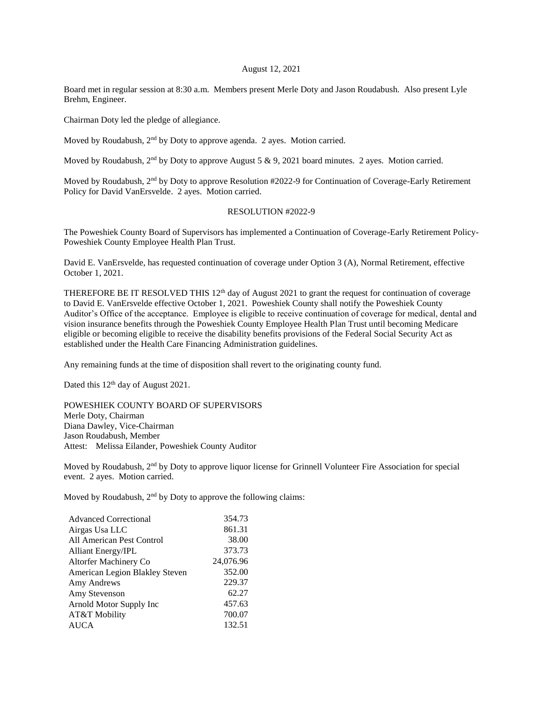## August 12, 2021

Board met in regular session at 8:30 a.m. Members present Merle Doty and Jason Roudabush. Also present Lyle Brehm, Engineer.

Chairman Doty led the pledge of allegiance.

Moved by Roudabush, 2nd by Doty to approve agenda. 2 ayes. Motion carried.

Moved by Roudabush,  $2<sup>nd</sup>$  by Doty to approve August 5 & 9, 2021 board minutes. 2 ayes. Motion carried.

Moved by Roudabush, 2<sup>nd</sup> by Doty to approve Resolution #2022-9 for Continuation of Coverage-Early Retirement Policy for David VanErsvelde. 2 ayes. Motion carried.

## RESOLUTION #2022-9

The Poweshiek County Board of Supervisors has implemented a Continuation of Coverage-Early Retirement Policy-Poweshiek County Employee Health Plan Trust.

David E. VanErsvelde, has requested continuation of coverage under Option 3 (A), Normal Retirement, effective October 1, 2021.

THEREFORE BE IT RESOLVED THIS  $12<sup>th</sup>$  day of August 2021 to grant the request for continuation of coverage to David E. VanErsvelde effective October 1, 2021. Poweshiek County shall notify the Poweshiek County Auditor's Office of the acceptance. Employee is eligible to receive continuation of coverage for medical, dental and vision insurance benefits through the Poweshiek County Employee Health Plan Trust until becoming Medicare eligible or becoming eligible to receive the disability benefits provisions of the Federal Social Security Act as established under the Health Care Financing Administration guidelines.

Any remaining funds at the time of disposition shall revert to the originating county fund.

Dated this 12<sup>th</sup> day of August 2021.

POWESHIEK COUNTY BOARD OF SUPERVISORS Merle Doty, Chairman Diana Dawley, Vice-Chairman Jason Roudabush, Member Attest: Melissa Eilander, Poweshiek County Auditor

Moved by Roudabush, 2<sup>nd</sup> by Doty to approve liquor license for Grinnell Volunteer Fire Association for special event. 2 ayes. Motion carried.

Moved by Roudabush,  $2<sup>nd</sup>$  by Doty to approve the following claims:

| <b>Advanced Correctional</b>   | 354.73    |
|--------------------------------|-----------|
| Airgas Usa LLC                 | 861.31    |
| All American Pest Control      | 38.00     |
| <b>Alliant Energy/IPL</b>      | 373.73    |
| Altorfer Machinery Co          | 24,076.96 |
| American Legion Blakley Steven | 352.00    |
| Amy Andrews                    | 229.37    |
| Amy Stevenson                  | 62.27     |
| Arnold Motor Supply Inc        | 457.63    |
| AT&T Mobility                  | 700.07    |
| <b>AUCA</b>                    | 132.51    |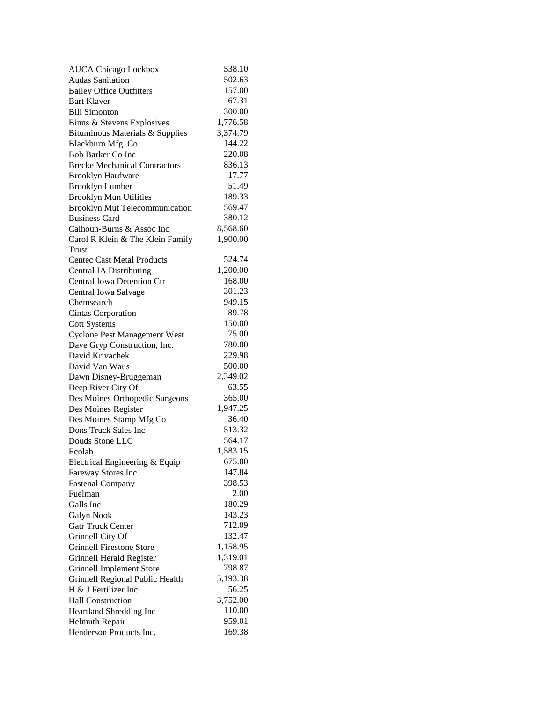| <b>AUCA Chicago Lockbox</b>           | 538.10   |
|---------------------------------------|----------|
| <b>Audas Sanitation</b>               | 502.63   |
| <b>Bailey Office Outfitters</b>       | 157.00   |
| <b>Bart Klaver</b>                    | 67.31    |
| <b>Bill Simonton</b>                  | 300.00   |
| Binns & Stevens Explosives            | 1,776.58 |
| Bituminous Materials & Supplies       | 3,374.79 |
| Blackburn Mfg. Co.                    | 144.22   |
| <b>Bob Barker Co Inc</b>              | 220.08   |
| <b>Brecke Mechanical Contractors</b>  | 836.13   |
| <b>Brooklyn Hardware</b>              | 17.77    |
| <b>Brooklyn Lumber</b>                | 51.49    |
| <b>Brooklyn Mun Utilities</b>         | 189.33   |
| <b>Brooklyn Mut Telecommunication</b> | 569.47   |
| <b>Business Card</b>                  | 380.12   |
| Calhoun-Burns & Assoc Inc             | 8,568.60 |
| Carol R Klein & The Klein Family      | 1,900.00 |
| Trust                                 |          |
| <b>Centec Cast Metal Products</b>     | 524.74   |
| <b>Central IA Distributing</b>        | 1,200.00 |
| <b>Central Iowa Detention Ctr</b>     | 168.00   |
| Central Iowa Salvage                  | 301.23   |
| Chemsearch                            | 949.15   |
| <b>Cintas Corporation</b>             | 89.78    |
| <b>Cott Systems</b>                   | 150.00   |
| <b>Cyclone Pest Management West</b>   | 75.00    |
| Dave Gryp Construction, Inc.          | 780.00   |
| David Krivachek                       | 229.98   |
| David Van Waus                        | 500.00   |
|                                       | 2,349.02 |
| Dawn Disney-Bruggeman                 | 63.55    |
| Deep River City Of                    |          |
| Des Moines Orthopedic Surgeons        | 365.00   |
| Des Moines Register                   | 1,947.25 |
| Des Moines Stamp Mfg Co               | 36.40    |
| Dons Truck Sales Inc                  | 513.32   |
| Douds Stone LLC                       | 564.17   |
| Ecolab                                | 1,583.15 |
| Electrical Engineering & Equip        | 675.00   |
| Fareway Stores Inc                    | 147.84   |
| <b>Fastenal Company</b>               | 398.53   |
| Fuelman                               | 2.00     |
| Galls Inc                             | 180.29   |
| Galyn Nook                            | 143.23   |
| <b>Gatr Truck Center</b>              | 712.09   |
| Grinnell City Of                      | 132.47   |
| <b>Grinnell Firestone Store</b>       | 1,158.95 |
| Grinnell Herald Register              | 1,319.01 |
| <b>Grinnell Implement Store</b>       | 798.87   |
| Grinnell Regional Public Health       | 5,193.38 |
| H & J Fertilizer Inc                  | 56.25    |
| <b>Hall Construction</b>              | 3,752.00 |
| Heartland Shredding Inc               | 110.00   |
| Helmuth Repair                        | 959.01   |
| Henderson Products Inc.               | 169.38   |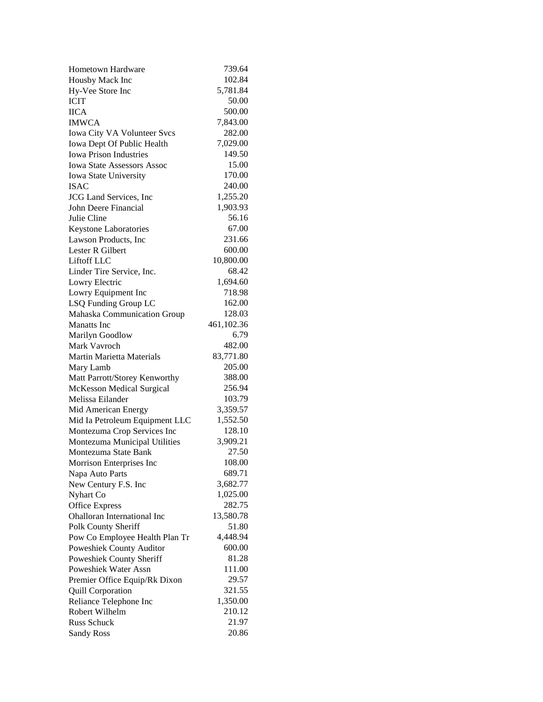| Hometown Hardware                                  | 739.64          |
|----------------------------------------------------|-----------------|
| Housby Mack Inc                                    | 102.84          |
| Hy-Vee Store Inc                                   | 5,781.84        |
| <b>ICIT</b>                                        | 50.00           |
| <b>IICA</b>                                        | 500.00          |
| <b>IMWCA</b>                                       | 7,843.00        |
| Iowa City VA Volunteer Svcs                        | 282.00          |
| Iowa Dept Of Public Health                         | 7,029.00        |
| <b>Iowa Prison Industries</b>                      | 149.50          |
| <b>Iowa State Assessors Assoc</b>                  | 15.00           |
| Iowa State University                              | 170.00          |
| <b>ISAC</b>                                        | 240.00          |
| <b>JCG</b> Land Services, Inc                      | 1,255.20        |
| John Deere Financial                               | 1,903.93        |
| Julie Cline                                        | 56.16           |
| Keystone Laboratories                              | 67.00           |
| Lawson Products, Inc                               | 231.66          |
| Lester R Gilbert                                   | 600.00          |
| Liftoff LLC                                        | 10,800.00       |
| Linder Tire Service, Inc.                          | 68.42           |
| Lowry Electric                                     | 1,694.60        |
| Lowry Equipment Inc                                | 718.98          |
| LSQ Funding Group LC                               | 162.00          |
| Mahaska Communication Group                        | 128.03          |
| <b>Manatts</b> Inc                                 | 461,102.36      |
| Marilyn Goodlow                                    | 6.79            |
| Mark Vavroch                                       | 482.00          |
| <b>Martin Marietta Materials</b>                   | 83,771.80       |
| Mary Lamb                                          | 205.00          |
| Matt Parrott/Storey Kenworthy                      | 388.00          |
| McKesson Medical Surgical                          | 256.94          |
| Melissa Eilander                                   | 103.79          |
| Mid American Energy                                | 3,359.57        |
| Mid Ia Petroleum Equipment LLC                     | 1,552.50        |
| Montezuma Crop Services Inc                        | 128.10          |
| Montezuma Municipal Utilities                      | 3,909.21        |
| Montezuma State Bank                               | 27.50           |
| Morrison Enterprises Inc                           | 108.00          |
| Napa Auto Parts                                    | 689.71          |
| New Century F.S. Inc                               | 3,682.77        |
| Nyhart Co                                          | 1,025.00        |
| <b>Office Express</b>                              | 282.75          |
| <b>Ohalloran International Inc</b>                 | 13,580.78       |
| Polk County Sheriff                                | 51.80           |
| Pow Co Employee Health Plan Tr                     | 4,448.94        |
| Poweshiek County Auditor                           | 600.00          |
| Poweshiek County Sheriff                           | 81.28           |
| <b>Poweshiek Water Assn</b>                        | 111.00<br>29.57 |
| Premier Office Equip/Rk Dixon                      | 321.55          |
| <b>Quill Corporation</b><br>Reliance Telephone Inc | 1,350.00        |
| Robert Wilhelm                                     | 210.12          |
| <b>Russ Schuck</b>                                 | 21.97           |
| <b>Sandy Ross</b>                                  | 20.86           |
|                                                    |                 |